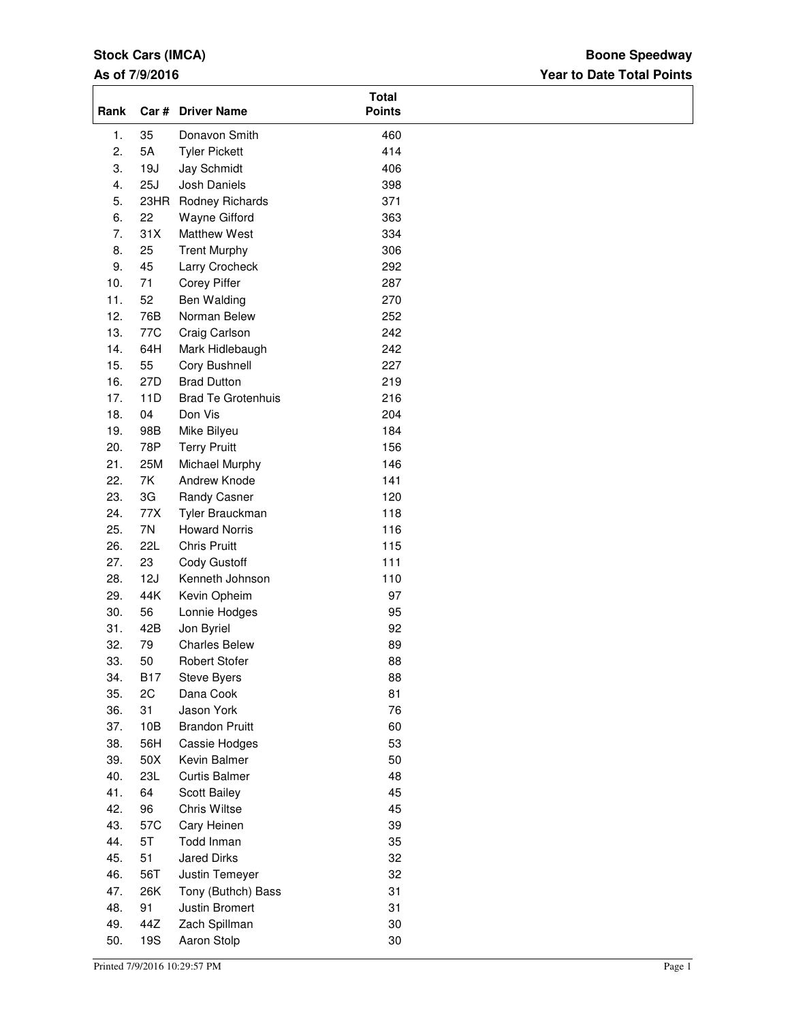### **Stock Cars (IMCA)**

#### **As of 7/9/2016**

## **Year to Date Total Points Boone Speedway**

| Rank |            | Car # Driver Name         | <b>Total</b><br><b>Points</b> |  |
|------|------------|---------------------------|-------------------------------|--|
| 1.   | 35         | Donavon Smith             | 460                           |  |
| 2.   | 5A         | <b>Tyler Pickett</b>      | 414                           |  |
| 3.   | 19J        | Jay Schmidt               | 406                           |  |
| 4.   | 25J        | Josh Daniels              | 398                           |  |
| 5.   | 23HR       | Rodney Richards           | 371                           |  |
| 6.   | 22         | Wayne Gifford             | 363                           |  |
| 7.   | 31X        | Matthew West              | 334                           |  |
| 8.   | 25         | <b>Trent Murphy</b>       | 306                           |  |
| 9.   | 45         | Larry Crocheck            | 292                           |  |
| 10.  | 71         | Corey Piffer              | 287                           |  |
| 11.  | 52         | Ben Walding               | 270                           |  |
| 12.  | 76B        | Norman Belew              | 252                           |  |
| 13.  | 77C        | Craig Carlson             | 242                           |  |
| 14.  | 64H        | Mark Hidlebaugh           | 242                           |  |
| 15.  | 55         | Cory Bushnell             | 227                           |  |
| 16.  | 27D        | <b>Brad Dutton</b>        | 219                           |  |
| 17.  | 11D        | <b>Brad Te Grotenhuis</b> | 216                           |  |
| 18.  | 04         | Don Vis                   | 204                           |  |
| 19.  |            |                           |                               |  |
| 20.  | 98B<br>78P | Mike Bilyeu               | 184                           |  |
|      |            | <b>Terry Pruitt</b>       | 156                           |  |
| 21.  | 25M        | Michael Murphy            | 146                           |  |
| 22.  | 7K         | Andrew Knode              | 141                           |  |
| 23.  | 3G         | Randy Casner              | 120                           |  |
| 24.  | 77X        | Tyler Brauckman           | 118                           |  |
| 25.  | 7N         | <b>Howard Norris</b>      | 116                           |  |
| 26.  | <b>22L</b> | <b>Chris Pruitt</b>       | 115                           |  |
| 27.  | 23         | Cody Gustoff              | 111                           |  |
| 28.  | 12J        | Kenneth Johnson           | 110                           |  |
| 29.  | 44K        | Kevin Opheim              | 97                            |  |
| 30.  | 56         | Lonnie Hodges             | 95                            |  |
| 31.  | 42B        | Jon Byriel                | 92                            |  |
| 32.  | 79         | <b>Charles Belew</b>      | 89                            |  |
| 33.  | 50         | <b>Robert Stofer</b>      | 88                            |  |
| 34.  | <b>B17</b> | Steve Byers               | 88                            |  |
| 35.  | 2C         | Dana Cook                 | 81                            |  |
| 36.  | 31         | Jason York                | 76                            |  |
| 37.  | 10B        | <b>Brandon Pruitt</b>     | 60                            |  |
| 38.  | 56H        | Cassie Hodges             | 53                            |  |
| 39.  | 50X        | Kevin Balmer              | 50                            |  |
| 40.  | 23L        | <b>Curtis Balmer</b>      | 48                            |  |
| 41.  | 64         | Scott Bailey              | 45                            |  |
| 42.  | 96         | Chris Wiltse              | 45                            |  |
| 43.  | 57C        | Cary Heinen               | 39                            |  |
| 44.  | 5T         | Todd Inman                | 35                            |  |
| 45.  | 51         | <b>Jared Dirks</b>        | 32                            |  |
| 46.  | 56T        | Justin Temeyer            | 32                            |  |
| 47.  | 26K        | Tony (Buthch) Bass        | 31                            |  |
| 48.  | 91         | Justin Bromert            | 31                            |  |
| 49.  | 44Z        | Zach Spillman             | 30                            |  |
| 50.  | 19S        | Aaron Stolp               | 30                            |  |